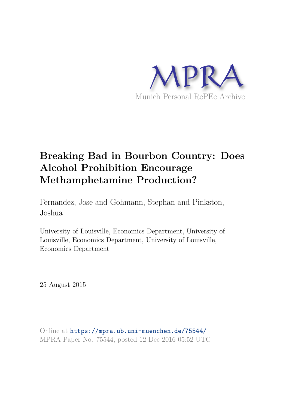

# **Breaking Bad in Bourbon Country: Does Alcohol Prohibition Encourage Methamphetamine Production?**

Fernandez, Jose and Gohmann, Stephan and Pinkston, Joshua

University of Louisville, Economics Department, University of Louisville, Economics Department, University of Louisville, Economics Department

25 August 2015

Online at https://mpra.ub.uni-muenchen.de/75544/ MPRA Paper No. 75544, posted 12 Dec 2016 05:52 UTC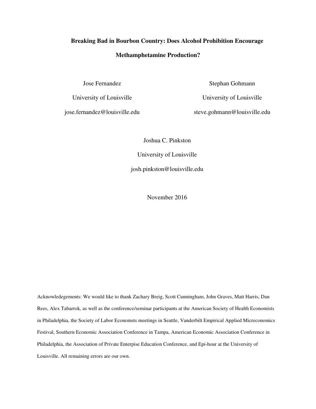# **Breaking Bad in Bourbon Country: Does Alcohol Prohibition Encourage Methamphetamine Production?**

Jose Fernandez

University of Louisville

jose.fernandez@louisville.edu

Stephan Gohmann

University of Louisville

steve.gohmann@louisville.edu

Joshua C. Pinkston

University of Louisville

josh.pinkston@louisville.edu

November 2016

Acknowledegements: We would like to thank Zachary Breig, Scott Cunningham, John Graves, Matt Harris, Dan Rees, Alex Tabarrok, as well as the conference/seminar participants at the American Society of Health Economists in Philadelphia, the Society of Labor Economsts meetings in Seattle, Vanderbilt Empirical Applied Micreconomics Festival, Southern Economic Association Conference in Tampa, American Economic Association Conference in Philadelphia, the Association of Private Enterpise Education Conference, and Epi-hour at the University of Louisville. All remaining errors are our own.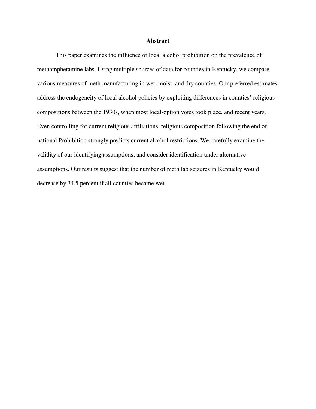### **Abstract**

This paper examines the influence of local alcohol prohibition on the prevalence of methamphetamine labs. Using multiple sources of data for counties in Kentucky, we compare various measures of meth manufacturing in wet, moist, and dry counties. Our preferred estimates address the endogeneity of local alcohol policies by exploiting differences in counties' religious compositions between the 1930s, when most local-option votes took place, and recent years. Even controlling for current religious affiliations, religious composition following the end of national Prohibition strongly predicts current alcohol restrictions. We carefully examine the validity of our identifying assumptions, and consider identification under alternative assumptions. Our results suggest that the number of meth lab seizures in Kentucky would decrease by 34.5 percent if all counties became wet.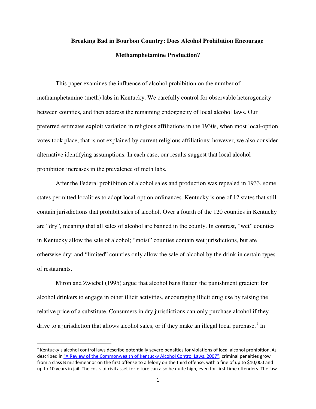## **Breaking Bad in Bourbon Country: Does Alcohol Prohibition Encourage Methamphetamine Production?**

This paper examines the influence of alcohol prohibition on the number of methamphetamine (meth) labs in Kentucky. We carefully control for observable heterogeneity between counties, and then address the remaining endogeneity of local alcohol laws. Our preferred estimates exploit variation in religious affiliations in the 1930s, when most local-option votes took place, that is not explained by current religious affiliations; however, we also consider alternative identifying assumptions. In each case, our results suggest that local alcohol prohibition increases in the prevalence of meth labs.

After the Federal prohibition of alcohol sales and production was repealed in 1933, some states permitted localities to adopt local-option ordinances. Kentucky is one of 12 states that still contain jurisdictions that prohibit sales of alcohol. Over a fourth of the 120 counties in Kentucky are "dry", meaning that all sales of alcohol are banned in the county. In contrast, "wet" counties in Kentucky allow the sale of alcohol; "moist" counties contain wet jurisdictions, but are otherwise dry; and "limited" counties only allow the sale of alcohol by the drink in certain types of restaurants.

Miron and Zwiebel (1995) argue that alcohol bans flatten the punishment gradient for alcohol drinkers to engage in other illicit activities, encouraging illicit drug use by raising the relative price of a substitute. Consumers in dry jurisdictions can only purchase alcohol if they drive to a jurisdiction that allows alcohol sales, or if they make an illegal local purchase.<sup>[1](#page-3-0)</sup> In

l

<span id="page-3-0"></span> $^1$  Kentucky's alcohol control laws describe potentially severe penalties for violations of local alcohol prohibition. As described in "A Review of the Commonwealth of Kentucky Alcohol Control Laws, 2007", criminal penalties grow from a class B misdemeanor on the first offense to a felony on the third offense, with a fine of up to \$10,000 and up to 10 years in jail. The costs of civil asset forfeiture can also be quite high, even for first-time offenders. The law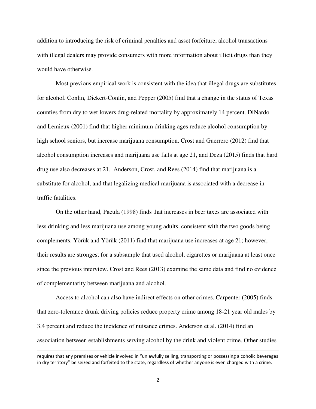addition to introducing the risk of criminal penalties and asset forfeiture, alcohol transactions with illegal dealers may provide consumers with more information about illicit drugs than they would have otherwise.

Most previous empirical work is consistent with the idea that illegal drugs are substitutes for alcohol. Conlin, Dickert-Conlin, and Pepper (2005) find that a change in the status of Texas counties from dry to wet lowers drug-related mortality by approximately 14 percent. DiNardo and Lemieux (2001) find that higher minimum drinking ages reduce alcohol consumption by high school seniors, but increase marijuana consumption. Crost and Guerrero (2012) find that alcohol consumption increases and marijuana use falls at age 21, and Deza (2015) finds that hard drug use also decreases at 21. Anderson, Crost, and Rees (2014) find that marijuana is a substitute for alcohol, and that legalizing medical marijuana is associated with a decrease in traffic fatalities.

On the other hand, Pacula (1998) finds that increases in beer taxes are associated with less drinking and less marijuana use among young adults, consistent with the two goods being complements. Yörük and Yörük (2011) find that marijuana use increases at age 21; however, their results are strongest for a subsample that used alcohol, cigarettes or marijuana at least once since the previous interview. Crost and Rees (2013) examine the same data and find no evidence of complementarity between marijuana and alcohol.

Access to alcohol can also have indirect effects on other crimes. Carpenter (2005) finds that zero-tolerance drunk driving policies reduce property crime among 18-21 year old males by 3.4 percent and reduce the incidence of nuisance crimes. Anderson et al. (2014) find an association between establishments serving alcohol by the drink and violent crime. Other studies

<u>.</u>

requires that any premises or vehicle involved in "unlawfully selling, transporting or possessing alcoholic beverages in dry territory" be seized and forfeited to the state, regardless of whether anyone is even charged with a crime.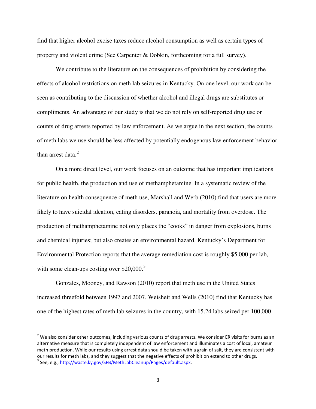find that higher alcohol excise taxes reduce alcohol consumption as well as certain types of property and violent crime (See Carpenter & Dobkin, forthcoming for a full survey).

We contribute to the literature on the consequences of prohibition by considering the effects of alcohol restrictions on meth lab seizures in Kentucky. On one level, our work can be seen as contributing to the discussion of whether alcohol and illegal drugs are substitutes or compliments. An advantage of our study is that we do not rely on self-reported drug use or counts of drug arrests reported by law enforcement. As we argue in the next section, the counts of meth labs we use should be less affected by potentially endogenous law enforcement behavior than arrest data. $2$ 

On a more direct level, our work focuses on an outcome that has important implications for public health, the production and use of methamphetamine. In a systematic review of the literature on health consequence of meth use, Marshall and Werb (2010) find that users are more likely to have suicidal ideation, eating disorders, paranoia, and mortality from overdose. The production of methamphetamine not only places the "cooks" in danger from explosions, burns and chemical injuries; but also creates an environmental hazard. Kentucky's Department for Environmental Protection reports that the average remediation cost is roughly \$5,000 per lab, with some clean-ups costing over  $$20,000.<sup>3</sup>$  $$20,000.<sup>3</sup>$  $$20,000.<sup>3</sup>$ 

Gonzales, Mooney, and Rawson (2010) report that meth use in the United States increased threefold between 1997 and 2007. Weisheit and Wells (2010) find that Kentucky has one of the highest rates of meth lab seizures in the country, with 15.24 labs seized per 100,000

l

<span id="page-5-1"></span><span id="page-5-0"></span> $2$  We also consider other outcomes, including various counts of drug arrests. We consider ER visits for burns as an alternative measure that is completely independent of law enforcement and illuminates a cost of local, amateur meth production. While our results using arrest data should be taken with a grain of salt, they are consistent with our results for meth labs, and they suggest that the negative effects of prohibition extend to other drugs. <sup>3</sup> See, e.g., http://waste.ky.gov/SFB/MethLabCleanup/Pages/default.aspx.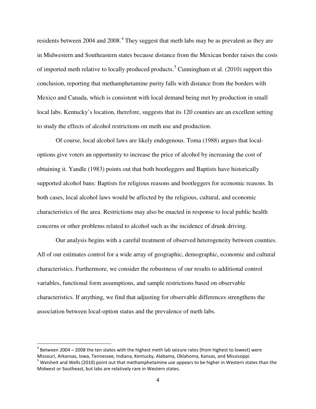residents between 200[4](#page-6-0) and 2008. $4$  They suggest that meth labs may be as prevalent as they are in Midwestern and Southeastern states because distance from the Mexican border raises the costs of imported meth relative to locally produced products.<sup>[5](#page-6-1)</sup> Cunningham et al.  $(2010)$  support this conclusion, reporting that methamphetamine purity falls with distance from the borders with Mexico and Canada, which is consistent with local demand being met by production in small local labs. Kentucky's location, therefore, suggests that its 120 counties are an excellent setting to study the effects of alcohol restrictions on meth use and production.

Of course, local alcohol laws are likely endogenous. Toma (1988) argues that localoptions give voters an opportunity to increase the price of alcohol by increasing the cost of obtaining it. Yandle (1983) points out that both bootleggers and Baptists have historically supported alcohol bans: Baptists for religious reasons and bootleggers for economic reasons. In both cases, local alcohol laws would be affected by the religious, cultural, and economic characteristics of the area. Restrictions may also be enacted in response to local public health concerns or other problems related to alcohol such as the incidence of drunk driving.

Our analysis begins with a careful treatment of observed heterogeneity between counties. All of our estimates control for a wide array of geographic, demographic, economic and cultural characteristics. Furthermore, we consider the robustness of our results to additional control variables, functional form assumptions, and sample restrictions based on observable characteristics. If anything, we find that adjusting for observable differences strengthens the association between local-option status and the prevalence of meth labs.

-

<span id="page-6-0"></span> $^4$  Between 2004 – 2008 the ten states with the highest meth lab seizure rates (from highest to lowest) were Missouri, Arkansas, Iowa, Tennessee, Indiana, Kentucky, Alabama, Oklahoma, Kansas, and Mississippi.

<span id="page-6-1"></span><sup>5</sup> Weisheit and Wells (2010) point out that methamphetamine *use* appears to be higher in Western states than the Midwest or Southeast, but labs are relatively rare in Western states.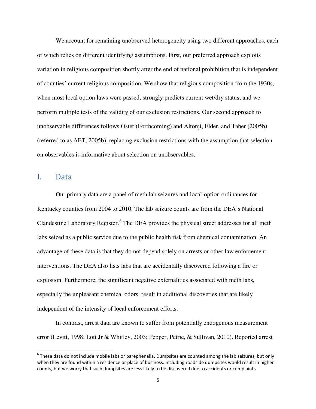We account for remaining unobserved heterogeneity using two different approaches, each of which relies on different identifying assumptions. First, our preferred approach exploits variation in religious composition shortly after the end of national prohibition that is independent of counties' current religious composition. We show that religious composition from the 1930s, when most local option laws were passed, strongly predicts current wet/dry status; and we perform multiple tests of the validity of our exclusion restrictions. Our second approach to unobservable differences follows Oster (Forthcoming) and Altonji, Elder, and Taber (2005b) (referred to as AET, 2005b), replacing exclusion restrictions with the assumption that selection on observables is informative about selection on unobservables.

### I. Data

 $\overline{\phantom{0}}$ 

Our primary data are a panel of meth lab seizures and local-option ordinances for Kentucky counties from 2004 to 2010. The lab seizure counts are from the DEA's National Clandestine Laboratory Register.<sup>[6](#page-7-0)</sup> The DEA provides the physical street addresses for all meth labs seized as a public service due to the public health risk from chemical contamination. An advantage of these data is that they do not depend solely on arrests or other law enforcement interventions. The DEA also lists labs that are accidentally discovered following a fire or explosion. Furthermore, the significant negative externalities associated with meth labs, especially the unpleasant chemical odors, result in additional discoveries that are likely independent of the intensity of local enforcement efforts.

In contrast, arrest data are known to suffer from potentially endogenous measurement error (Levitt, 1998; Lott Jr & Whitley, 2003; Pepper, Petrie, & Sullivan, 2010). Reported arrest

<span id="page-7-0"></span> $^6$  These data do not include mobile labs or parephenalia. Dumpsites are counted among the lab seizures, but only when they are found within a residence or place of business. Including roadside dumpsites would result in higher counts, but we worry that such dumpsites are less likely to be discovered due to accidents or complaints.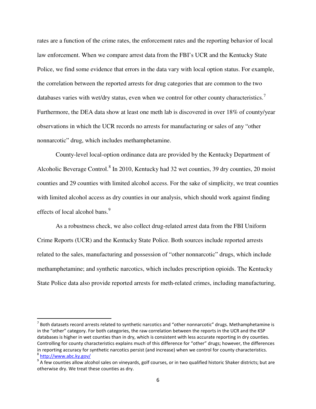rates are a function of the crime rates, the enforcement rates and the reporting behavior of local law enforcement. When we compare arrest data from the FBI's UCR and the Kentucky State Police, we find some evidence that errors in the data vary with local option status. For example, the correlation between the reported arrests for drug categories that are common to the two databases varies with wet/dry status, even when we control for other county characteristics.<sup>[7](#page-8-0)</sup> Furthermore, the DEA data show at least one meth lab is discovered in over 18% of county/year observations in which the UCR records no arrests for manufacturing or sales of any "other nonnarcotic" drug, which includes methamphetamine.

County-level local-option ordinance data are provided by the Kentucky Department of Alcoholic Beverage Control.<sup>[8](#page-8-1)</sup> In 2010, Kentucky had 32 wet counties, 39 dry counties, 20 moist counties and 29 counties with limited alcohol access. For the sake of simplicity, we treat counties with limited alcohol access as dry counties in our analysis, which should work against finding effects of local alcohol bans.<sup>[9](#page-8-2)</sup>

As a robustness check, we also collect drug-related arrest data from the FBI Uniform Crime Reports (UCR) and the Kentucky State Police. Both sources include reported arrests related to the sales, manufacturing and possession of "other nonnarcotic" drugs, which include methamphetamine; and synthetic narcotics, which includes prescription opioids. The Kentucky State Police data also provide reported arrests for meth-related crimes, including manufacturing,

 $\overline{\phantom{0}}$ 

<span id="page-8-0"></span> $^7$  Both datasets record arrests related to synthetic narcotics and "other nonnarcotic" drugs. Methamphetamine is in the "other" category. For both categories, the raw correlation between the reports in the UCR and the KSP databases is higher in wet counties than in dry, which is consistent with less accurate reporting in dry counties. Controlling for county characteristics explains much of this difference for "other" drugs; however, the differences in reporting accuracy for synthetic narcotics persist (and increase) when we control for county characteristics. <sup>8</sup>http://www.abc.ky.gov/

<span id="page-8-2"></span><span id="page-8-1"></span> $9$  A few counties allow alcohol sales on vineyards, golf courses, or in two qualified historic Shaker districts; but are otherwise dry. We treat these counties as dry.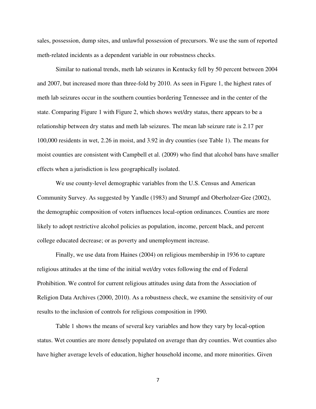sales, possession, dump sites, and unlawful possession of precursors. We use the sum of reported meth-related incidents as a dependent variable in our robustness checks.

Similar to national trends, meth lab seizures in Kentucky fell by 50 percent between 2004 and 2007, but increased more than three-fold by 2010. As seen in Figure 1, the highest rates of meth lab seizures occur in the southern counties bordering Tennessee and in the center of the state. Comparing Figure 1 with Figure 2, which shows wet/dry status, there appears to be a relationship between dry status and meth lab seizures. The mean lab seizure rate is 2.17 per 100,000 residents in wet, 2.26 in moist, and 3.92 in dry counties (see Table 1). The means for moist counties are consistent with Campbell et al. (2009) who find that alcohol bans have smaller effects when a jurisdiction is less geographically isolated.

We use county-level demographic variables from the U.S. Census and American Community Survey. As suggested by Yandle (1983) and Strumpf and Oberholzer‐Gee (2002), the demographic composition of voters influences local-option ordinances. Counties are more likely to adopt restrictive alcohol policies as population, income, percent black, and percent college educated decrease; or as poverty and unemployment increase.

Finally, we use data from Haines (2004) on religious membership in 1936 to capture religious attitudes at the time of the initial wet/dry votes following the end of Federal Prohibition. We control for current religious attitudes using data from the Association of Religion Data Archives (2000, 2010). As a robustness check, we examine the sensitivity of our results to the inclusion of controls for religious composition in 1990.

Table 1 shows the means of several key variables and how they vary by local-option status. Wet counties are more densely populated on average than dry counties. Wet counties also have higher average levels of education, higher household income, and more minorities. Given

7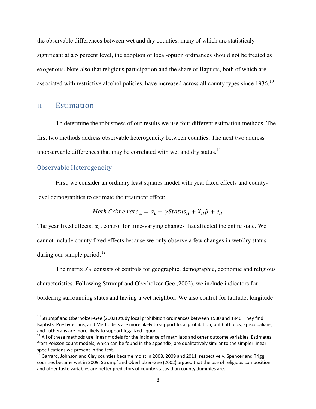the observable differences between wet and dry counties, many of which are statisticaly significant at a 5 percent level, the adoption of local-option ordinances should not be treated as exogenous. Note also that religious participation and the share of Baptists, both of which are associated with restrictive alcohol policies, have increased across all county types since  $1936$ .<sup>[10](#page-10-0)</sup>

### II. Estimation

To determine the robustness of our results we use four different estimation methods. The first two methods address observable heterogeneity between counties. The next two address unobservable differences that may be correlated with wet and dry status. $11$ 

### Observable Heterogeneity

<u>.</u>

First, we consider an ordinary least squares model with year fixed effects and countylevel demographics to estimate the treatment effect:

*Method of the* 
$$
Method = \alpha_t + \gamma Status_{it} + X_{it}\beta + e_{it}
$$

The year fixed effects,  $\alpha_t$ , control for time-varying changes that affected the entire state. We cannot include county fixed effects because we only observe a few changes in wet/dry status during our sample period. $12$ 

The matrix  $X_{it}$  consists of controls for geographic, demographic, economic and religious characteristics. Following Strumpf and Oberholzer-Gee (2002), we include indicators for bordering surrounding states and having a wet neighbor. We also control for latitude, longitude

<span id="page-10-0"></span><sup>&</sup>lt;sup>10</sup> Strumpf and Oberholzer-Gee (2002) study local prohibition ordinances between 1930 and 1940. They find Baptists, Presbyterians, and Methodists are more likely to support local prohibition; but Catholics, Episcopalians, and Lutherans are more likely to support legalized liquor.

<span id="page-10-1"></span> $11$  All of these methods use linear models for the incidence of meth labs and other outcome variables. Estimates from Poisson count models, which can be found in the appendix, are qualitatively similar to the simpler linear specifications we present in the text.

<span id="page-10-2"></span><sup>12</sup> Garrard, Johnson and Clay counties became moist in 2008, 2009 and 2011, respectively. Spencer and Trigg counties became wet in 2009. Strumpf and Oberholzer-Gee (2002) argued that the use of religious composition and other taste variables are better predictors of county status than county dummies are.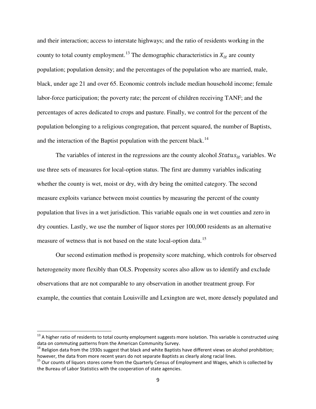and their interaction; access to interstate highways; and the ratio of residents working in the county to total county employment.<sup>[13](#page-11-0)</sup> The demographic characteristics in  $X_{it}$  are county population; population density; and the percentages of the population who are married, male, black, under age 21 and over 65. Economic controls include median household income; female labor-force participation; the poverty rate; the percent of children receiving TANF; and the percentages of acres dedicated to crops and pasture. Finally, we control for the percent of the population belonging to a religious congregation, that percent squared, the number of Baptists, and the interaction of the Baptist population with the percent black.<sup>[14](#page-11-1)</sup>

The variables of interest in the regressions are the county alcohol  $Status_{it}$  variables. We use three sets of measures for local-option status. The first are dummy variables indicating whether the county is wet, moist or dry, with dry being the omitted category. The second measure exploits variance between moist counties by measuring the percent of the county population that lives in a wet jurisdiction. This variable equals one in wet counties and zero in dry counties. Lastly, we use the number of liquor stores per 100,000 residents as an alternative measure of wetness that is not based on the state local-option data.<sup>[15](#page-11-2)</sup>

Our second estimation method is propensity score matching, which controls for observed heterogeneity more flexibly than OLS. Propensity scores also allow us to identify and exclude observations that are not comparable to any observation in another treatment group. For example, the counties that contain Louisville and Lexington are wet, more densely populated and

-

<span id="page-11-0"></span> $13$  A higher ratio of residents to total county employment suggests more isolation. This variable is constructed using data on commuting patterns from the American Community Survey.

<span id="page-11-1"></span> $14$  Religion data from the 1930s suggest that black and white Baptists have different views on alcohol prohibition; however, the data from more recent years do not separate Baptists as clearly along racial lines.

<span id="page-11-2"></span><sup>&</sup>lt;sup>15</sup> Our counts of liquors stores come from the Quarterly Census of Employment and Wages, which is collected by the Bureau of Labor Statistics with the cooperation of state agencies.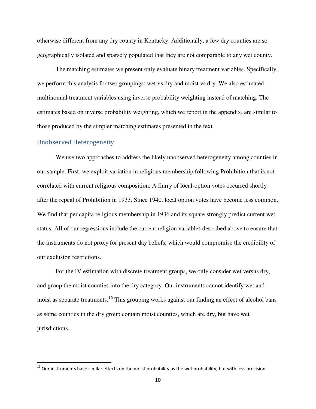otherwise different from any dry county in Kentucky. Additionally, a few dry counties are so geographically isolated and sparsely populated that they are not comparable to any wet county.

The matching estimates we present only evaluate binary treatment variables. Specifically, we perform this analysis for two groupings: wet vs dry and moist vs dry. We also estimated multinomial treatment variables using inverse probability weighting instead of matching. The estimates based on inverse probability weighting, which we report in the appendix, are similar to those produced by the simpler matching estimates presented in the text.

### Unobserved Heterogeneity

 $\overline{\phantom{0}}$ 

We use two approaches to address the likely unobserved heterogeneity among counties in our sample. First, we exploit variation in religious membership following Prohibition that is not correlated with current religious composition. A flurry of local-option votes occurred shortly after the repeal of Prohibition in 1933. Since 1940, local option votes have become less common. We find that per capita religious membership in 1936 and its square strongly predict current wet status. All of our regressions include the current religion variables described above to ensure that the instruments do not proxy for present day beliefs, which would compromise the credibility of our exclusion restrictions.

For the IV estimation with discrete treatment groups, we only consider wet versus dry, and group the moist counties into the dry category. Our instruments cannot identify wet and moist as separate treatments.<sup>[16](#page-12-0)</sup> This grouping works against our finding an effect of alcohol bans as some counties in the dry group contain moist counties, which are dry, but have wet jurisdictions.

<span id="page-12-0"></span> $16$  Our instruments have similar effects on the moist probability as the wet probability, but with less precision.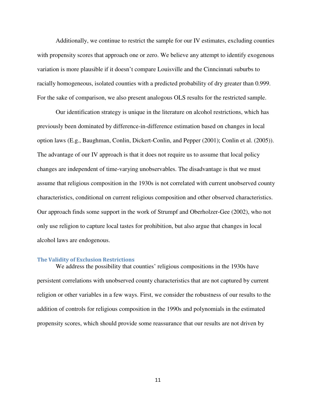Additionally, we continue to restrict the sample for our IV estimates, excluding counties with propensity scores that approach one or zero. We believe any attempt to identify exogenous variation is more plausible if it doesn't compare Louisville and the Cinncinnati suburbs to racially homogeneous, isolated counties with a predicted probability of dry greater than 0.999. For the sake of comparison, we also present analogous OLS results for the restricted sample.

Our identification strategy is unique in the literature on alcohol restrictions, which has previously been dominated by difference-in-difference estimation based on changes in local option laws (E.g., Baughman, Conlin, Dickert-Conlin, and Pepper (2001); Conlin et al. (2005)). The advantage of our IV approach is that it does not require us to assume that local policy changes are independent of time-varying unobservables. The disadvantage is that we must assume that religious composition in the 1930s is not correlated with current unobserved county characteristics, conditional on current religious composition and other observed characteristics. Our approach finds some support in the work of Strumpf and Oberholzer-Gee (2002), who not only use religion to capture local tastes for prohibition, but also argue that changes in local alcohol laws are endogenous.

#### **The Validity of Exclusion Restrictions**

We address the possibility that counties' religious compositions in the 1930s have persistent correlations with unobserved county characteristics that are not captured by current religion or other variables in a few ways. First, we consider the robustness of our results to the addition of controls for religious composition in the 1990s and polynomials in the estimated propensity scores, which should provide some reassurance that our results are not driven by

11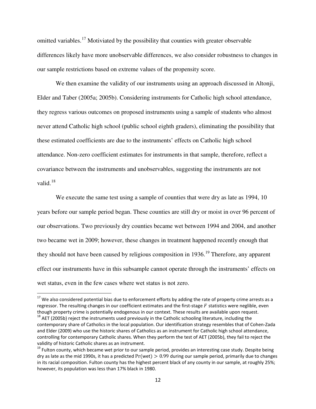omitted variables.<sup>[17](#page-14-0)</sup> Motiviated by the possibility that counties with greater observable differences likely have more unobservable differences, we also consider robustness to changes in our sample restrictions based on extreme values of the propensity score.

We then examine the validity of our instruments using an approach discussed in Altonji, Elder and Taber (2005a; 2005b). Considering instruments for Catholic high school attendance, they regress various outcomes on proposed instruments using a sample of students who almost never attend Catholic high school (public school eighth graders), eliminating the possibility that these estimated coefficients are due to the instruments' effects on Catholic high school attendance. Non-zero coefficient estimates for instruments in that sample, therefore, reflect a covariance between the instruments and unobservables, suggesting the instruments are not valid.[18](#page-14-1)

We execute the same test using a sample of counties that were dry as late as 1994, 10 years before our sample period began. These counties are still dry or moist in over 96 percent of our observations. Two previously dry counties became wet between 1994 and 2004, and another two became wet in 2009; however, these changes in treatment happened recently enough that they should not have been caused by religious composition in  $1936$  $1936$ <sup>19</sup>. Therefore, any apparent effect our instruments have in this subsample cannot operate through the instruments' effects on wet status, even in the few cases where wet status is not zero.

<u>.</u>

<span id="page-14-0"></span> $17$  We also considered potential bias due to enforcement efforts by adding the rate of property crime arrests as a regressor. The resulting changes in our coefficient estimates and the first-stage  $F$  statistics were neglible, even though property crime is potentially endogenous in our context. These results are available upon request. <sup>18</sup> AET (2005b) reject the instruments used previously in the Catholic schooling literature, including the

<span id="page-14-1"></span>contemporary share of Catholics in the local population. Our identification strategy resembles that of Cohen-Zada and Elder (2009) who use the historic shares of Catholics as an instrument for Catholic high school attendance, controlling for contemporary Catholic shares. When they perform the test of AET (2005b), they fail to reject the validity of historic Catholic shares as an instrument.

<span id="page-14-2"></span> $19$  Fulton county, which became wet prior to our sample period, provides an interesting case study. Despite being dry as late as the mid 1990s, it has a predicted  $Pr(wet) > 0.99$  during our sample period, primarily due to changes in its racial composition. Fulton county has the highest percent black of any county in our sample, at roughly 25%; however, its population was less than 17% black in 1980.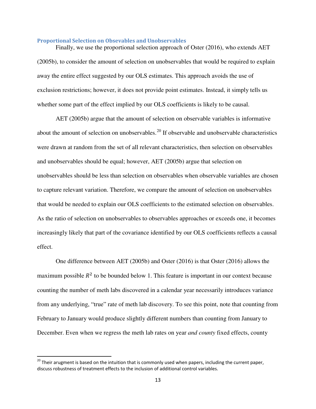#### **Proportional Selection on Obsevables and Unobservables**

Finally, we use the proportional selection approach of Oster (2016), who extends AET (2005b), to consider the amount of selection on unobservables that would be required to explain away the entire effect suggested by our OLS estimates. This approach avoids the use of exclusion restrictions; however, it does not provide point estimates. Instead, it simply tells us whether some part of the effect implied by our OLS coefficients is likely to be causal.

AET (2005b) argue that the amount of selection on observable variables is informative about the amount of selection on unobservables.<sup>[20](#page-15-0)</sup> If observable and unobservable characteristics were drawn at random from the set of all relevant characteristics, then selection on observables and unobservables should be equal; however, AET (2005b) argue that selection on unobservables should be less than selection on observables when observable variables are chosen to capture relevant variation. Therefore, we compare the amount of selection on unobservables that would be needed to explain our OLS coefficients to the estimated selection on observables. As the ratio of selection on unobservables to observables approaches or exceeds one, it becomes increasingly likely that part of the covariance identified by our OLS coefficients reflects a causal effect.

One difference between AET (2005b) and Oster (2016) is that Oster (2016) allows the maximum possible  $R^2$  to be bounded below 1. This feature is important in our context because counting the number of meth labs discovered in a calendar year necessarily introduces variance from any underlying, "true" rate of meth lab discovery. To see this point, note that counting from February to January would produce slightly different numbers than counting from January to December. Even when we regress the meth lab rates on year *and county* fixed effects, county

l

<span id="page-15-0"></span> $^{20}$  Their arugment is based on the intuition that is commonly used when papers, including the current paper, discuss robustness of treatment effects to the inclusion of additional control variables.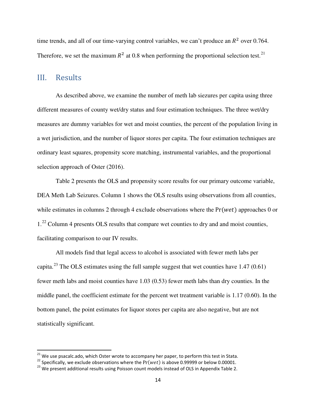time trends, and all of our time-varying control variables, we can't produce an  $R^2$  over 0.764. Therefore, we set the maximum  $R^2$  at 0.8 when performing the proportional selection test.<sup>[21](#page-16-0)</sup>

### III. Results

 $\overline{\phantom{0}}$ 

As described above, we examine the number of meth lab siezures per capita using three different measures of county wet/dry status and four estimation techniques. The three wet/dry measures are dummy variables for wet and moist counties, the percent of the population living in a wet jurisdiction, and the number of liquor stores per capita. The four estimation techniques are ordinary least squares, propensity score matching, instrumental variables, and the proportional selection approach of Oster (2016).

Table 2 presents the OLS and propensity score results for our primary outcome variable, DEA Meth Lab Seizures. Column 1 shows the OLS results using observations from all counties, while estimates in columns 2 through 4 exclude observations where the  $Pr(wet)$  approaches 0 or 1<sup>[22](#page-16-1)</sup> Column 4 presents OLS results that compare wet counties to dry and and moist counties, facilitating comparison to our IV results.

All models find that legal access to alcohol is associated with fewer meth labs per capita.<sup>[23](#page-16-2)</sup> The OLS estimates using the full sample suggest that wet counties have  $1.47(0.61)$ fewer meth labs and moist counties have 1.03 (0.53) fewer meth labs than dry counties. In the middle panel, the coefficient estimate for the percent wet treatment variable is 1.17 (0.60). In the bottom panel, the point estimates for liquor stores per capita are also negative, but are not statistically significant.

 $^{21}$  We use psacalc.ado, which Oster wrote to accompany her paper, to perform this test in Stata.

<span id="page-16-1"></span><span id="page-16-0"></span><sup>&</sup>lt;sup>22</sup> Specifically, we exclude observations where the  $Pr(wet)$  is above 0.99999 or below 0.00001.

<span id="page-16-2"></span><sup>&</sup>lt;sup>23</sup> We present additional results using Poisson count models instead of OLS in Appendix Table 2.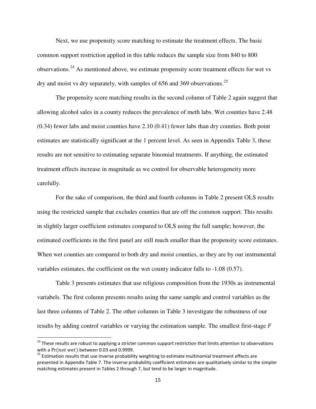Next, we use propensity score matching to estimate the treatment effects. The basic common support restriction applied in this table reduces the sample size from 840 to 800 observations.<sup>[24](#page-17-0)</sup> As mentioned above, we estimate propensity score treatment effects for wet vs dry and moist vs dry separately, with samples of  $656$  and  $369$  observations.<sup>[25](#page-17-1)</sup>

The propensity score matching results in the second column of Table 2 again suggest that allowing alcohol sales in a county reduces the prevalence of meth labs. Wet counties have 2.48 (0.34) fewer labs and moist counties have 2.10 (0.41) fewer labs than dry counties. Both point estimates are statistically significant at the 1 percent level. As seen in Appendix Table 3, these results are not sensitive to estimating separate binomial treatments. If anything, the estimated treatment effects increase in magnitude as we control for observable heterogeneity more carefully.

For the sake of comparison, the third and fourth columns in Table 2 present OLS results using the restricted sample that excludes counties that are off the common support. This results in slightly larger coefficient estimates compared to OLS using the full sample; however, the estimated coefficients in the first panel are still much smaller than the propensity score estimates. When wet counties are compared to both dry and moist counties, as they are by our instrumental variables estimates, the coefficient on the wet county indicator falls to -1.08 (0.57).

Table 3 presents estimates that use religious composition from the 1930s as instrumental variabels. The first column presents results using the same sample and control variables as the last three columns of Table 2. The other columns in Table 3 investigate the robustness of our results by adding control variables or varying the estimation sample. The smallest first-stage  $F$ 

<u>.</u>

<span id="page-17-0"></span><sup>&</sup>lt;sup>24</sup> These results are robust to applying a stricter common support restriction that limits attention to observations with a  $Pr(not wet)$  between 0.03 and 0.9999.

<span id="page-17-1"></span> $25$  Estimation results that use inverse probability weighting to estimate multinomial treatment effects are presented in Appendix Table 7. The inverse probability coefficient estimates are qualitatively similar to the simpler matching estimates present in Tables 2 through 7, but tend to be larger in magnitude.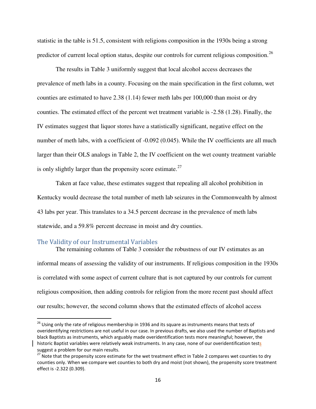statistic in the table is 51.5, consistent with religions composition in the 1930s being a strong predictor of current local option status, despite our controls for current religious composition.<sup>[26](#page-18-0)</sup>

The results in Table 3 uniformly suggest that local alcohol access decreases the prevalence of meth labs in a county. Focusing on the main specification in the first column, wet counties are estimated to have 2.38 (1.14) fewer meth labs per 100,000 than moist or dry counties. The estimated effect of the percent wet treatment variable is -2.58 (1.28). Finally, the IV estimates suggest that liquor stores have a statistically significant, negative effect on the number of meth labs, with a coefficient of -0.092 (0.045). While the IV coefficients are all much larger than their OLS analogs in Table 2, the IV coefficient on the wet county treatment variable is only slightly larger than the propensity score estimate.<sup>[27](#page-18-1)</sup>

Taken at face value, these estimates suggest that repealing all alcohol prohibition in Kentucky would decrease the total number of meth lab seizures in the Commonwealth by almost 43 labs per year. This translates to a 34.5 percent decrease in the prevalence of meth labs statewide, and a 59.8% percent decrease in moist and dry counties.

#### The Validity of our Instrumental Variables

 $\overline{\phantom{0}}$ 

The remaining columns of Table 3 consider the robustness of our IV estimates as an informal means of assessing the validity of our instruments. If religious composition in the 1930s is correlated with some aspect of current culture that is not captured by our controls for current religious composition, then adding controls for religion from the more recent past should affect our results; however, the second column shows that the estimated effects of alcohol access

<span id="page-18-0"></span><sup>&</sup>lt;sup>26</sup> Using only the rate of religious membership in 1936 and its square as instruments means that tests of overidentifying restrictions are not useful in our case. In previous drafts, we also used the number of Baptists and black Baptists as instruments, which arguably made overidentification tests more meaningful; however, the historic Baptist variables were relatively weak instruments. In any case, none of our overidentification tests suggest a problem for our main results.

<span id="page-18-1"></span><sup>&</sup>lt;sup>27</sup> Note that the propensity score estimate for the wet treatment effect in Table 2 compares wet counties to dry counties only. When we compare wet counties to both dry and moist (not shown), the propensity score treatment effect is -2.322 (0.309).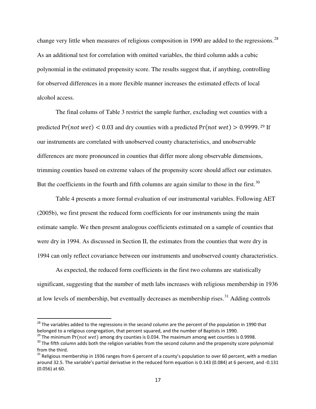change very little when measures of religious composition in 1990 are added to the regressions.<sup>[28](#page-19-0)</sup> As an additional test for correlation with omitted variables, the third column adds a cubic polynomial in the estimated propensity score. The results suggest that, if anything, controlling for observed differences in a more flexible manner increases the estimated effects of local alcohol access.

The final colums of Table 3 restrict the sample further, excluding wet counties with a predicted  $Pr(not wet)$  < 0.03 and dry counties with a predicted  $Pr(not wet)$  > 0.9999.<sup>29</sup> If our instruments are correlated with unobserved county characteristics, and unobservable differences are more pronounced in counties that differ more along observable dimensions, trimming counties based on extreme values of the propensity score should affect our estimates. But the coefficients in the fourth and fifth columns are again similar to those in the first.<sup>[30](#page-19-1)</sup>

Table 4 presents a more formal evaluation of our instrumental variables. Following AET (2005b), we first present the reduced form coefficients for our instruments using the main estimate sample. We then present analogous coefficients estimated on a sample of counties that were dry in 1994. As discussed in Section II, the estimates from the counties that were dry in 1994 can only reflect covariance between our instruments and unobserved county characteristics.

As expected, the reduced form coefficients in the first two columns are statistically significant, suggesting that the number of meth labs increases with religious membership in 1936 at low levels of membership, but eventually decreases as membership rises. $31$  Adding controls

 $\overline{\phantom{0}}$ 

<span id="page-19-0"></span> $28$  The variables added to the regressions in the second column are the percent of the population in 1990 that belonged to a religious congregation, that percent squared, and the number of Baptists in 1990.

 $29$  The minimum Pr(not wet) among dry counties is 0.034. The maximum among wet counties is 0.9998.

<span id="page-19-1"></span><sup>&</sup>lt;sup>30</sup> The fifth column adds both the religion variables from the second column and the propensity score polynomial from the third.

<span id="page-19-2"></span> $31$  Religious membership in 1936 ranges from 6 percent of a county's population to over 60 percent, with a median around 32.5. The variable's partial derivative in the reduced form equation is 0.143 (0.084) at 6 percent, and -0.131 (0.056) at 60.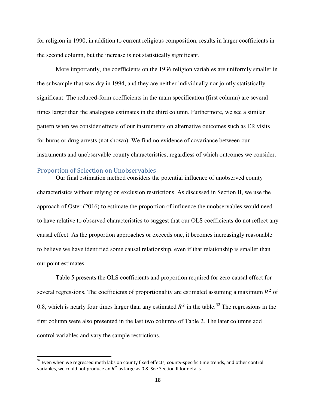for religion in 1990, in addition to current religious composition, results in larger coefficients in the second column, but the increase is not statistically significant.

More importantly, the coefficients on the 1936 religion variables are uniformly smaller in the subsample that was dry in 1994, and they are neither individually nor jointly statistically significant. The reduced-form coefficients in the main specification (first column) are several times larger than the analogous estimates in the third column. Furthermore, we see a similar pattern when we consider effects of our instruments on alternative outcomes such as ER visits for burns or drug arrests (not shown). We find no evidence of covariance between our instruments and unobservable county characteristics, regardless of which outcomes we consider.

#### Proportion of Selection on Unobservables

-

Our final estimation method considers the potential influence of unobserved county characteristics without relying on exclusion restrictions. As discussed in Section II, we use the approach of Oster (2016) to estimate the proportion of influence the unobservables would need to have relative to observed characteristics to suggest that our OLS coefficients do not reflect any causal effect. As the proportion approaches or exceeds one, it becomes increasingly reasonable to believe we have identified some causal relationship, even if that relationship is smaller than our point estimates.

Table 5 presents the OLS coefficients and proportion required for zero causal effect for several regressions. The coefficients of proportionality are estimated assuming a maximum  $R^2$  of 0.8, which is nearly four times larger than any estimated  $R^2$  in the table.<sup>[32](#page-20-0)</sup> The regressions in the first column were also presented in the last two columns of Table 2. The later columns add control variables and vary the sample restrictions.

<span id="page-20-0"></span><sup>&</sup>lt;sup>32</sup> Even when we regressed meth labs on county fixed effects, county-specific time trends, and other control variables, we could not produce an  $R^2$  as large as 0.8. See Section II for details.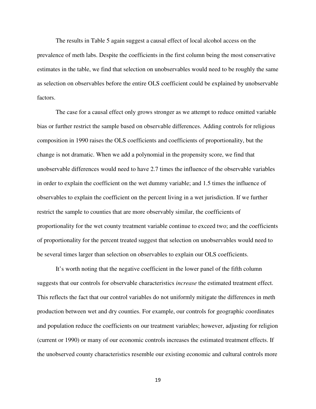The results in Table 5 again suggest a causal effect of local alcohol access on the prevalence of meth labs. Despite the coefficients in the first column being the most conservative estimates in the table, we find that selection on unobservables would need to be roughly the same as selection on observables before the entire OLS coefficient could be explained by unobservable factors.

The case for a causal effect only grows stronger as we attempt to reduce omitted variable bias or further restrict the sample based on observable differences. Adding controls for religious composition in 1990 raises the OLS coefficients and coefficients of proportionality, but the change is not dramatic. When we add a polynomial in the propensity score, we find that unobservable differences would need to have 2.7 times the influence of the observable variables in order to explain the coefficient on the wet dummy variable; and 1.5 times the influence of observables to explain the coefficient on the percent living in a wet jurisdiction. If we further restrict the sample to counties that are more observably similar, the coefficients of proportionality for the wet county treatment variable continue to exceed two; and the coefficients of proportionality for the percent treated suggest that selection on unobservables would need to be several times larger than selection on observables to explain our OLS coefficients.

It's worth noting that the negative coefficient in the lower panel of the fifth column suggests that our controls for observable characteristics *increase* the estimated treatment effect. This reflects the fact that our control variables do not uniformly mitigate the differences in meth production between wet and dry counties. For example, our controls for geographic coordinates and population reduce the coefficients on our treatment variables; however, adjusting for religion (current or 1990) or many of our economic controls increases the estimated treatment effects. If the unobserved county characteristics resemble our existing economic and cultural controls more

19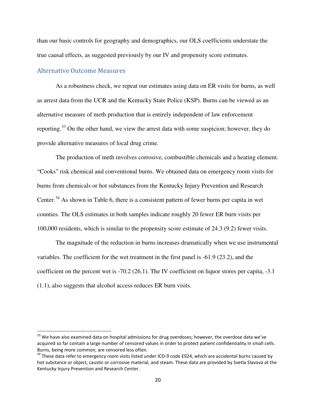than our basic controls for geography and demographics, our OLS coefficients understate the true causal effects, as suggested previously by our IV and propensity score estimates.

### Alternative Outcome Measures

l

As a robustness check, we repeat our estimates using data on ER visits for burns, as well as arrest data from the UCR and the Kentucky State Police (KSP). Burns can be viewed as an alternative measure of meth production that is entirely independent of law enforcement reporting.[33](#page-22-0) On the other hand, we view the arrest data with some suspicion; however, they do provide alternative measures of local drug crime.

The production of meth involves corrosive, combustible chemicals and a heating element. "Cooks" risk chemical and conventional burns. We obtained data on emergency room visits for burns from chemicals or hot substances from the Kentucky Injury Prevention and Research Center.<sup>[34](#page-22-1)</sup> As shown in Table 6, there is a consistent pattern of fewer burns per capita in wet counties. The OLS estimates in both samples indicate roughly 20 fewer ER burn visits per 100,000 residents, which is similar to the propensity score estimate of 24.3 (9.2) fewer visits.

The magnitude of the reduction in burns increases dramatically when we use instrumental variables. The coefficient for the wet treatment in the first panel is -61.9 (23.2), and the coefficient on the percent wet is -70.2 (26.1). The IV coefficient on liquor stores per capita, -3.1 (1.1), also suggests that alcohol access reduces ER burn visits.

<span id="page-22-0"></span><sup>&</sup>lt;sup>33</sup> We have also examined data on hospital admissions for drug overdoses; however, the overdose data we've acquired so far contain a large number of censored values in order to protect patient confidentiality in small cells. Burns, being more common, are censored less often.

<span id="page-22-1"></span> $34$  These data refer to emergency room visits listed under ICD-9 code E924, which are accidental burns caused by hot substance or object, caustic or corrosive material, and steam. These data are provided by Svetla Slavova at the Kentucky Injury Prevention and Research Center.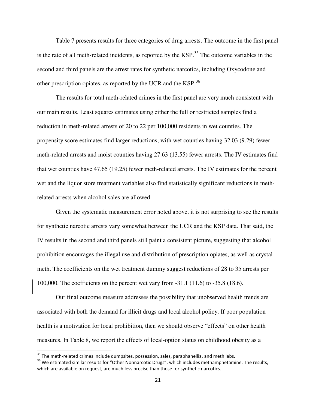Table 7 presents results for three categories of drug arrests. The outcome in the first panel is the rate of all meth-related incidents, as reported by the KSP.<sup>[35](#page-23-0)</sup> The outcome variables in the second and third panels are the arrest rates for synthetic narcotics, including Oxycodone and other prescription opiates, as reported by the UCR and the KSP.[36](#page-23-1)

The results for total meth-related crimes in the first panel are very much consistent with our main results. Least squares estimates using either the full or restricted samples find a reduction in meth-related arrests of 20 to 22 per 100,000 residents in wet counties. The propensity score estimates find larger reductions, with wet counties having 32.03 (9.29) fewer meth-related arrests and moist counties having 27.63 (13.55) fewer arrests. The IV estimates find that wet counties have 47.65 (19.25) fewer meth-related arrests. The IV estimates for the percent wet and the liquor store treatment variables also find statistically significant reductions in methrelated arrests when alcohol sales are allowed.

Given the systematic measurement error noted above, it is not surprising to see the results for synthetic narcotic arrests vary somewhat between the UCR and the KSP data. That said, the IV results in the second and third panels still paint a consistent picture, suggesting that alcohol prohibition encourages the illegal use and distribution of prescription opiates, as well as crystal meth. The coefficients on the wet treatment dummy suggest reductions of 28 to 35 arrests per 100,000. The coefficients on the percent wet vary from -31.1 (11.6) to -35.8 (18.6).

Our final outcome measure addresses the possibility that unobserved health trends are associated with both the demand for illicit drugs and local alcohol policy. If poor population health is a motivation for local prohibition, then we should observe "effects" on other health measures. In Table 8, we report the effects of local-option status on childhood obesity as a

 $\overline{\phantom{0}}$ 

<span id="page-23-0"></span><sup>&</sup>lt;sup>35</sup> The meth-related crimes include dumpsites, possession, sales, paraphanellia, and meth labs.

<span id="page-23-1"></span><sup>&</sup>lt;sup>36</sup> We estimated similar results for "Other Nonnarcotic Drugs", which includes methamphetamine. The results, which are available on request, are much less precise than those for synthetic narcotics.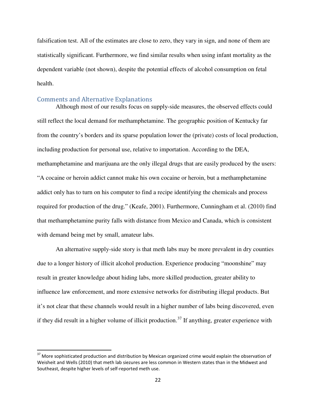falsification test. All of the estimates are close to zero, they vary in sign, and none of them are statistically significant. Furthermore, we find similar results when using infant mortality as the dependent variable (not shown), despite the potential effects of alcohol consumption on fetal health.

### Comments and Alternative Explanations

 $\overline{\phantom{0}}$ 

Although most of our results focus on supply-side measures, the observed effects could still reflect the local demand for methamphetamine. The geographic position of Kentucky far from the country's borders and its sparse population lower the (private) costs of local production, including production for personal use, relative to importation. According to the DEA, methamphetamine and marijuana are the only illegal drugs that are easily produced by the users: "A cocaine or heroin addict cannot make his own cocaine or heroin, but a methamphetamine addict only has to turn on his computer to find a recipe identifying the chemicals and process required for production of the drug." (Keafe, 2001). Furthermore, Cunningham et al. (2010) find that methamphetamine purity falls with distance from Mexico and Canada, which is consistent with demand being met by small, amateur labs.

An alternative supply-side story is that meth labs may be more prevalent in dry counties due to a longer history of illicit alcohol production. Experience producing "moonshine" may result in greater knowledge about hiding labs, more skilled production, greater ability to influence law enforcement, and more extensive networks for distributing illegal products. But it's not clear that these channels would result in a higher number of labs being discovered, even if they did result in a higher volume of illicit production.<sup>[37](#page-24-0)</sup> If anything, greater experience with

<span id="page-24-0"></span><sup>&</sup>lt;sup>37</sup> More sophisticated production and distribution by Mexican organized crime would explain the observation of Weisheit and Wells (2010) that meth lab siezures are less common in Western states than in the Midwest and Southeast, despite higher levels of self-reported meth use.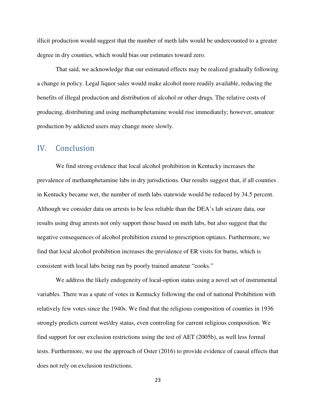illicit production would suggest that the number of meth labs would be undercounted to a greater degree in dry counties, which would bias our estimates toward zero.

That said, we acknowledge that our estimated effects may be realized gradually following a change in policy. Legal liquor sales would make alcohol more readily available, reducing the benefits of illegal production and distribution of alcohol or other drugs. The relative costs of producing, distributing and using methamphetamine would rise immediately; however, amateur production by addicted users may change more slowly.

### IV. Conclusion

We find strong evidence that local alcohol prohibition in Kentucky increases the prevalence of methamphetamine labs in dry jurisdictions. Our results suggest that, if all counties in Kentucky became wet, the number of meth labs statewide would be reduced by 34.5 percent. Although we consider data on arrests to be less reliable than the DEA's lab seizure data, our results using drug arrests not only support those based on meth labs, but also suggest that the negative consequences of alcohol prohibition extend to prescription optiates. Furthermore, we find that local alcohol prohibition increases the prevalence of ER visits for burns, which is consistent with local labs being run by poorly trained amateur "cooks."

We address the likely endogeneity of local-option status using a novel set of instrumental variables. There was a spate of votes in Kentucky following the end of national Prohibition with relatively few votes since the 1940s. We find that the religious composition of counties in 1936 strongly predicts current wet/dry status, even controling for current religious composition. We find support for our exclusion restrictions using the test of AET (2005b), as well less formal tests. Furthermore, we use the approach of Oster (2016) to provide evidence of causal effects that does not rely on exclusion restrictions.

23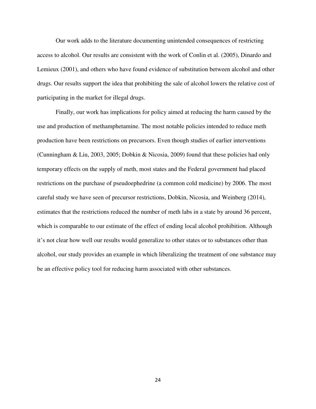Our work adds to the literature documenting unintended consequences of restricting access to alcohol. Our results are consistent with the work of Conlin et al. (2005), Dinardo and Lemieux (2001), and others who have found evidence of substitution between alcohol and other drugs. Our results support the idea that prohibiting the sale of alcohol lowers the relative cost of participating in the market for illegal drugs.

 Finally, our work has implications for policy aimed at reducing the harm caused by the use and production of methamphetamine. The most notable policies intended to reduce meth production have been restrictions on precursors. Even though studies of earlier interventions (Cunningham & Liu, 2003, 2005; Dobkin & Nicosia, 2009) found that these policies had only temporary effects on the supply of meth, most states and the Federal government had placed restrictions on the purchase of pseudoephedrine (a common cold medicine) by 2006. The most careful study we have seen of precursor restrictions, Dobkin, Nicosia, and Weinberg (2014), estimates that the restrictions reduced the number of meth labs in a state by around 36 percent, which is comparable to our estimate of the effect of ending local alcohol prohibition. Although it's not clear how well our results would generalize to other states or to substances other than alcohol, our study provides an example in which liberalizing the treatment of one substance may be an effective policy tool for reducing harm associated with other substances.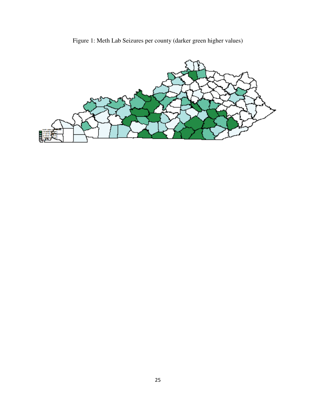

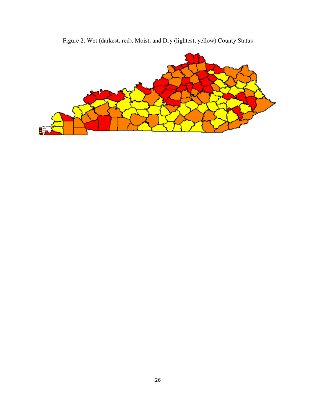

Figure 2: Wet (darkest, red), Moist, and Dry (lightest, yellow) County Status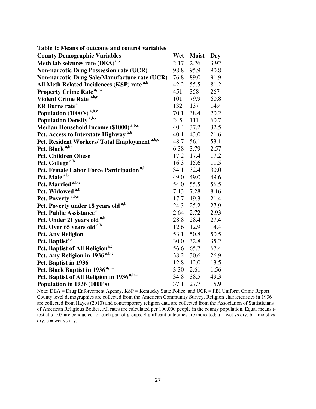| <b>County Demographic Variables</b>                      | Wet  | <b>Moist</b> | Dry  |
|----------------------------------------------------------|------|--------------|------|
| Meth lab seizures rate (DEA) <sup>a,b</sup>              | 2.17 | 2.26         | 3.92 |
| <b>Non-narcotic Drug Possession rate (UCR)</b>           | 98.8 | 95.9         | 90.8 |
| Non-narcotic Drug Sale/Manufacture rate (UCR)            | 76.8 | 89.0         | 91.9 |
| All Meth Related Incidences (KSP) rate <sup>a,b</sup>    | 42.2 | 55.5         | 81.2 |
| <b>Property Crime Rate</b> <sup>a,b,c</sup>              | 451  | 358          | 267  |
| Violent Crime Rate <sup>a,b,c</sup>                      | 101  | 79.9         | 60.8 |
| ER Burns rate <sup>a</sup>                               | 132  | 137          | 149  |
| Population (1000's) <sup>a,b,c</sup>                     | 70.1 | 38.4         | 20.2 |
| <b>Population Density</b> <sup>a,b,c</sup>               | 245  | 111          | 60.7 |
| Median Household Income (\$1000) <sup>a,b,c</sup>        | 40.4 | 37.2         | 32.5 |
| Pct. Access to Interstate Highway <sup>a,b</sup>         | 40.1 | 43.0         | 21.6 |
| Pct. Resident Workers/ Total Employment <sup>a,b,c</sup> | 48.7 | 56.1         | 53.1 |
| Pct. Black <sup>a,b,c</sup>                              | 6.38 | 3.79         | 2.57 |
| <b>Pct. Children Obese</b>                               | 17.2 | 17.4         | 17.2 |
| Pct. College <sup>a,b</sup>                              | 16.3 | 15.6         | 11.5 |
| Pct. Female Labor Force Participation <sup>a,b</sup>     | 34.1 | 32.4         | 30.0 |
| Pct. Male <sup>a,b</sup>                                 | 49.0 | 49.0         | 49.6 |
| Pct. Married <sup>a,b,c</sup>                            | 54.0 | 55.5         | 56.5 |
| Pct. Widowed <sup>a,b</sup>                              | 7.13 | 7.28         | 8.16 |
| Pct. Poverty <sup>a,b,c</sup>                            | 17.7 | 19.3         | 21.4 |
| Pct. Poverty under 18 years old <sup>a,b</sup>           | 24.3 | 25.2         | 27.9 |
| <b>Pct. Public Assistance</b> <sup>a</sup>               | 2.64 | 2.72         | 2.93 |
| Pct. Under 21 years old <sup>a,b</sup>                   | 28.8 | 28.4         | 27.4 |
| Pct. Over 65 years old a,b                               | 12.6 | 12.9         | 14.4 |
| <b>Pct. Any Religion</b>                                 | 53.1 | 50.8         | 50.5 |
| Pct. Baptist <sup>a,c</sup>                              | 30.0 | 32.8         | 35.2 |
| Pct. Baptist of All Religion <sup>a,c</sup>              | 56.6 | 65.7         | 67.4 |
| Pct. Any Religion in 1936 <sup>a,b,c</sup>               | 38.2 | 30.6         | 26.9 |
| Pct. Baptist in 1936                                     | 12.8 | 12.0         | 13.5 |
| Pct. Black Baptist in 1936 <sup>a,b,c</sup>              | 3.30 | 2.61         | 1.56 |
| Pct. Baptist of All Religion in 1936 <sup>a,b,c</sup>    | 34.8 | 38.5         | 49.3 |
| Population in 1936 (1000's)                              | 37.1 | 27.7         | 15.9 |

**Table 1: Means of outcome and control variables** 

Note: DEA = Drug Enforcement Agency, KSP = Kentucky State Police, and UCR = FBI Uniform Crime Report. County level demographics are collected from the American Community Survey. Religion characteristics in 1936 are collected from Hayes (2010) and contemporary religion data are collected from the Association of Statisticians of American Religious Bodies. All rates are calculated per 100,000 people in the county population. Equal means ttest at  $\alpha$ =.05 are conducted for each pair of groups. Significant outcomes are indicated:  $\alpha$  = wet vs dry,  $\dot{b}$  = moist vs dry, c = wet vs dry.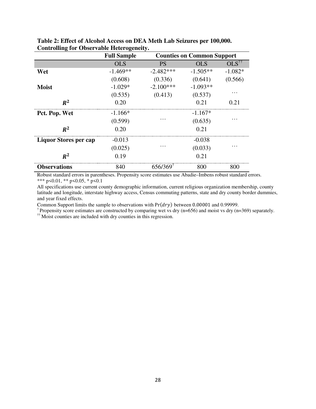|                              | <b>Full Sample</b> | <b>Counties on Common Support</b> |            |                        |
|------------------------------|--------------------|-----------------------------------|------------|------------------------|
|                              | <b>OLS</b>         | <b>PS</b>                         | <b>OLS</b> | $OLS^{\dagger\dagger}$ |
| Wet                          | $-1.469**$         | $-2.482***$                       | $-1.505**$ | $-1.082*$              |
|                              | (0.608)            | (0.336)                           | (0.641)    | (0.566)                |
| <b>Moist</b>                 | $-1.029*$          | $-2.100***$                       | $-1.093**$ |                        |
|                              | (0.535)            | (0.413)                           | (0.537)    |                        |
| $R^2$                        | 0.20               |                                   | 0.21       | 0.21                   |
| Pct. Pop. Wet                | $-1.166*$          |                                   | $-1.167*$  |                        |
|                              | (0.599)            |                                   | (0.635)    |                        |
| $R^2$                        | 0.20               |                                   | 0.21       |                        |
| <b>Liquor Stores per cap</b> | $-0.013$           |                                   | $-0.038$   |                        |
|                              | (0.025)            |                                   | (0.033)    |                        |
| $R^2$                        | 0.19               |                                   | 0.21       |                        |
| <b>Observations</b>          | 840                | 656/369                           | 800        | 800                    |

**Table 2: Effect of Alcohol Access on DEA Meth Lab Seizures per 100,000. Controlling for Observable Heterogeneity.**

Robust standard errors in parentheses. Propensity score estimates use Abadie–Imbens robust standard errors. \*\*\* p<0.01, \*\* p<0.05, \* p<0.1

All specifications use current county demographic information, current religious organization membership, county latitude and longitude, interstate highway access, Census commuting patterns, state and dry county border dummies, and year fixed effects.

Common Support limits the sample to observations with  $Pr(dry)$  between 0.00001 and 0.99999.

<sup>†</sup> Propensity score estimates are constructed by comparing wet vs dry (n=656) and moist vs dry (n=369) separately.

<sup>††</sup> Moist counties are included with dry counties in this regression.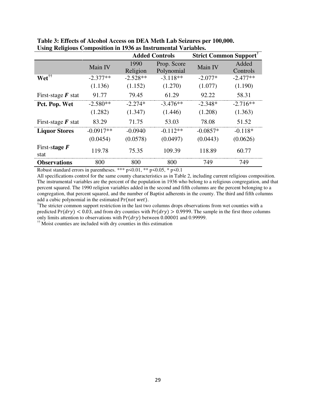|                                   |             | <b>Added Controls</b> |             | <b>Strict Common Support'</b> |            |
|-----------------------------------|-------------|-----------------------|-------------|-------------------------------|------------|
|                                   | Main IV     | 1990                  | Prop. Score | Main IV                       | Added      |
|                                   |             | Religion              | Polynomial  |                               | Controls   |
| Wet <sup>††</sup>                 | $-2.377**$  | $-2.528**$            | $-3.118**$  | $-2.077*$                     | $-2.477**$ |
|                                   | (1.136)     | (1.152)               | (1.270)     | (1.077)                       | (1.190)    |
| First-stage $\bm{F}$ stat         | 91.77       | 79.45                 | 61.29       | 92.22                         | 58.31      |
| Pct. Pop. Wet                     | $-2.580**$  | $-2.274*$             | $-3.476**$  | $-2.348*$                     | $-2.716**$ |
|                                   | (1.282)     | (1.347)               | (1.446)     | (1.208)                       | (1.363)    |
| First-stage $\boldsymbol{F}$ stat | 83.29       | 71.75                 | 53.03       | 78.08                         | 51.52      |
| <b>Liquor Stores</b>              | $-0.0917**$ | $-0.0940$             | $-0.112**$  | $-0.0857*$                    | $-0.118*$  |
|                                   | (0.0454)    | (0.0578)              | (0.0497)    | (0.0443)                      | (0.0626)   |
| First-stage $F$<br>stat           | 119.78      | 75.35                 | 109.39      | 118.89                        | 60.77      |
| <b>Observations</b>               | 800         | 800                   | 800         | 749                           | 749        |

**Table 3: Effects of Alcohol Access on DEA Meth Lab Seizures per 100,000. Using Religious Composition in 1936 as Instrumental Variables.** 

Robust standard errors in parentheses. \*\*\*  $p \le 0.01$ , \*\*  $p \le 0.05$ , \*  $p \le 0.1$ 

All specifications control for the same county characteristics as in Table 2, including current religious composition. The instrumental variables are the percent of the population in 1936 who belong to a religious congregation, and that percent squared. The 1990 religion variables added in the second and fifth columns are the percent belonging to a congregation, that percent squared, and the number of Baptist adherents in the county. The third and fifth columns add a cubic polynomial in the estimated  $Pr(not wet)$ .

<sup>†</sup>The stricter common support restriction in the last two columns drops observations from wet counties with a predicted  $Pr(dry) < 0.03$ , and from dry counties with  $Pr(dry) > 0.9999$ . The sample in the first three columns only limits attention to observations with  $Pr(dry)$  between 0.00001 and 0.99999.

 $\ddot{\mathbf{r}}$  Moist counties are included with dry counties in this estimation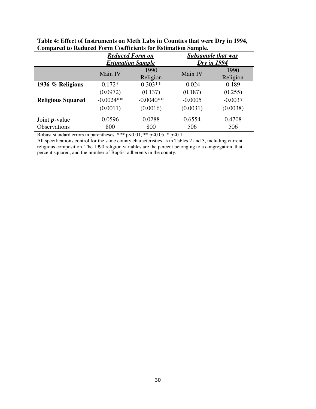|                                                                                                                                                        |                             | <b>Reduced Form on</b><br><b>Estimation Sample</b> | <b>Subsample that was</b><br><b>Dry</b> in 1994 |                  |  |  |
|--------------------------------------------------------------------------------------------------------------------------------------------------------|-----------------------------|----------------------------------------------------|-------------------------------------------------|------------------|--|--|
|                                                                                                                                                        | 1990<br>Main IV<br>Religion |                                                    | Main IV                                         | 1990<br>Religion |  |  |
| 1936 % Religious                                                                                                                                       | $0.172*$                    | $0.303**$                                          | $-0.024$                                        | 0.189            |  |  |
|                                                                                                                                                        | (0.0972)                    | (0.137)                                            | (0.187)                                         | (0.255)          |  |  |
| <b>Religious Squared</b>                                                                                                                               | $-0.0024**$                 | $-0.0040**$                                        | $-0.0005$                                       | $-0.0037$        |  |  |
|                                                                                                                                                        | (0.0011)                    | (0.0016)                                           | (0.0031)                                        | (0.0038)         |  |  |
| Joint $p$ -value                                                                                                                                       | 0.0596                      | 0.0288                                             | 0.6554                                          | 0.4708           |  |  |
| <b>Observations</b>                                                                                                                                    | 800                         | 800                                                | 506                                             | 506              |  |  |
| $D_{1}1$ , $1 \leq i \leq 1$ , $1 \leq j \leq 1$ , $2 \leq j \leq 1$ , $3 \leq j \leq 1$ , $4 \vee 4 \vee 5 \vee 6$ , $61 \vee 6 \vee 6 \vee 6 \vee 1$ |                             |                                                    |                                                 |                  |  |  |

**Table 4: Effect of Instruments on Meth Labs in Counties that were Dry in 1994, Compared to Reduced Form Coefficients for Estimation Sample.**

Robust standard errors in parentheses. \*\*\*  $p$  <0.01, \*\*  $p$  <0.05, \*  $p$  <0.1

All specifications control for the same county characteristics as in Tables 2 and 3, including current religious composition. The 1990 religion variables are the percent belonging to a congregation, that percent squared, and the number of Baptist adherents in the county.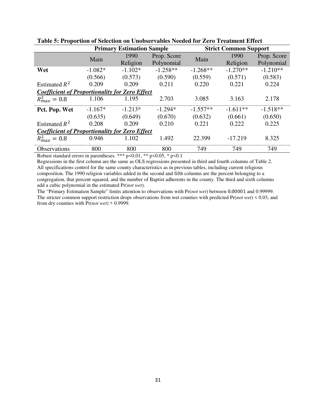|                                                       | <b>Primary Estimation Sample</b> |                     |            | <b>Strict Common Support</b> |            |             |  |
|-------------------------------------------------------|----------------------------------|---------------------|------------|------------------------------|------------|-------------|--|
|                                                       | Main                             | 1990<br>Prop. Score |            | Main                         | 1990       | Prop. Score |  |
|                                                       |                                  | Religion            | Polynomial |                              | Religion   | Polynomial  |  |
| Wet                                                   | $-1.082*$                        | $-1.102*$           | $-1.258**$ | $-1.268**$                   | $-1.270**$ | $-1.210**$  |  |
|                                                       | (0.566)                          | (0.573)             | (0.590)    | (0.559)                      | (0.571)    | (0.583)     |  |
| Estimated $R^2$                                       | 0.209                            | 0.209               | 0.211      | 0.220                        | 0.221      | 0.224       |  |
| <b>Coefficient of Proportionality for Zero Effect</b> |                                  |                     |            |                              |            |             |  |
| $R_{max}^2 = 0.8$                                     | 1.106                            | 1.195               | 2.703      | 3.085                        | 3.163      | 2.178       |  |
| Pct. Pop. Wet                                         | $-1.167*$                        | $-1.213*$           | $-1.294*$  | $-1.557**$                   | $-1.611**$ | $-1.518**$  |  |
|                                                       | (0.635)                          | (0.649)             | (0.670)    | (0.632)                      | (0.661)    | (0.650)     |  |
| Estimated $R^2$                                       | 0.208                            | 0.209               | 0.210      | 0.221                        | 0.222      | 0.225       |  |
| <b>Coefficient of Proportionality for Zero Effect</b> |                                  |                     |            |                              |            |             |  |
| $R_{max}^2 = 0.8$                                     | 0.946                            | 1.102               | 1.492      | 22.399                       | $-17.219$  | 8.325       |  |
| <b>Observations</b>                                   | 800                              | 800                 | 800        | 749                          | 749        | 749         |  |

### **Table 5: Proportion of Selection on Unobservables Needed for Zero Treatment Effect**

Robust standard errors in parentheses. \*\*\* p<0.01, \*\* p<0.05, \* p<0.1

Regressions in the first column are the same as OLS regressions presented in third and fourth columns of Table 2. All specifications control for the same county characteristics as in previous tables, including current religious composition. The 1990 religion variables added in the second and fifth columns are the percent belonging to a congregation, that percent squared, and the number of Baptist adherents in the county. The third and sixth columns add a cubic polynomial in the estimated Pr(*not wet*).

The "Primary Estimation Sample" limits attention to observations with Pr(*not wet*) between 0.00001 and 0.99999. The stricter common support restriction drops observations from wet counties with predicted Pr(*not wet*) < 0.03, and from dry counties with Pr(*not wet*) > 0.9999.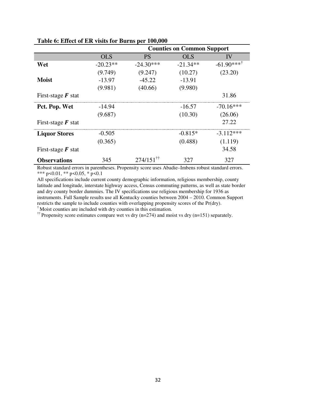|                           |            | <b>Counties on Common Support</b> |            |                       |  |  |
|---------------------------|------------|-----------------------------------|------------|-----------------------|--|--|
|                           | <b>OLS</b> | <b>PS</b>                         | <b>OLS</b> | IV                    |  |  |
| Wet                       | $-20.23**$ | $-24.30***$                       | $-21.34**$ | $-61.90***^{\dagger}$ |  |  |
|                           | (9.749)    | (9.247)                           | (10.27)    | (23.20)               |  |  |
| <b>Moist</b>              | $-13.97$   | $-45.22$                          | $-13.91$   |                       |  |  |
|                           | (9.981)    | (40.66)                           | (9.980)    |                       |  |  |
| First-stage $\bm{F}$ stat |            |                                   |            | 31.86                 |  |  |
| Pct. Pop. Wet             | $-14.94$   |                                   | $-16.57$   | $-70.16***$           |  |  |
|                           | (9.687)    |                                   | (10.30)    | (26.06)               |  |  |
| First-stage $\bm{F}$ stat |            |                                   |            | 27.22                 |  |  |
| <b>Liquor Stores</b>      | $-0.505$   |                                   | $-0.815*$  | $-3.112***$           |  |  |
|                           | (0.365)    |                                   | (0.488)    | (1.119)               |  |  |
| First-stage $\bm{F}$ stat |            |                                   |            | 34.58                 |  |  |
| <b>Observations</b>       | 345        | $274/151$ <sup>††</sup>           | 327        | 327                   |  |  |

**Table 6: Effect of ER visits for Burns per 100,000** 

Robust standard errors in parentheses. Propensity score uses Abadie–Imbens robust standard errors. \*\*\* p<0.01, \*\* p<0.05, \* p<0.1

All specifications include current county demographic information, religious membership, county latitude and longitude, interstate highway access, Census commuting patterns, as well as state border and dry county border dummies. The IV specifications use religious membership for 1936 as instruments. Full Sample results use all Kentucky counties between 2004 – 2010. Common Support restricts the sample to include counties with overlapping propensity scores of the Pr(dry). † Moist counties are included with dry counties in this estimation.

<sup>††</sup> Propensity score estimates compare wet vs dry (n=274) and moist vs dry (n=151) separately.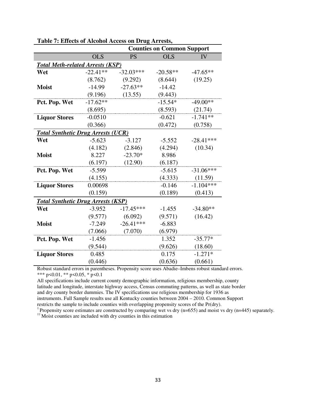|                                           |            | <b>Counties on Common Support</b> |            |             |  |  |
|-------------------------------------------|------------|-----------------------------------|------------|-------------|--|--|
|                                           | <b>OLS</b> | <b>PS</b>                         | <b>OLS</b> | IV          |  |  |
| <b>Total Meth-related Arrests (KSP)</b>   |            |                                   |            |             |  |  |
| Wet                                       | $-22.41**$ | $-32.03***$                       | $-20.58**$ | $-47.65**$  |  |  |
|                                           | (8.762)    | (9.292)                           | (8.644)    | (19.25)     |  |  |
| <b>Moist</b>                              | $-14.99$   | $-27.63**$                        | $-14.42$   |             |  |  |
|                                           | (9.196)    | (13.55)                           | (9.443)    |             |  |  |
| Pct. Pop. Wet                             | $-17.62**$ |                                   | $-15.54*$  | $-49.00**$  |  |  |
|                                           | (8.695)    |                                   | (8.593)    | (21.74)     |  |  |
| <b>Liquor Stores</b>                      | $-0.0510$  |                                   | $-0.621$   | $-1.741**$  |  |  |
|                                           | (0.366)    |                                   | (0.472)    | (0.758)     |  |  |
| <b>Total Synthetic Drug Arrests (UCR)</b> |            |                                   |            |             |  |  |
| Wet                                       | $-5.623$   | $-3.127$                          | $-5.552$   | $-28.41***$ |  |  |
|                                           | (4.182)    | (2.846)                           | (4.294)    | (10.34)     |  |  |
| <b>Moist</b>                              | 8.227      | $-23.70*$                         | 8.986      |             |  |  |
|                                           | (6.197)    | (12.90)                           | (6.187)    |             |  |  |
| Pct. Pop. Wet                             | $-5.599$   |                                   | $-5.615$   | $-31.06***$ |  |  |
|                                           | (4.155)    |                                   | (4.333)    | (11.59)     |  |  |
| <b>Liquor Stores</b>                      | 0.00698    |                                   | $-0.146$   | $-1.104***$ |  |  |
|                                           | (0.159)    |                                   | (0.189)    | (0.413)     |  |  |
| <b>Total Synthetic Drug Arrests (KSP)</b> |            |                                   |            |             |  |  |
| Wet                                       | $-3.952$   | $-17.45***$                       | $-1.455$   | $-34.80**$  |  |  |
|                                           | (9.577)    | (6.092)                           | (9.571)    | (16.42)     |  |  |
| <b>Moist</b>                              | $-7.249$   | $-26.41***$                       | $-6.883$   |             |  |  |
|                                           | (7.066)    | (7.070)                           | (6.979)    |             |  |  |
| Pct. Pop. Wet                             | $-1.456$   |                                   | 1.352      | $-35.77*$   |  |  |
|                                           | (9.544)    |                                   | (9.626)    | (18.60)     |  |  |
| <b>Liquor Stores</b>                      | 0.485      |                                   | 0.175      | $-1.271*$   |  |  |
|                                           | (0.446)    |                                   | (0.636)    | (0.661)     |  |  |

**Table 7: Effects of Alcohol Access on Drug Arrests,** 

Robust standard errors in parentheses. Propensity score uses Abadie–Imbens robust standard errors. \*\*\* p<0.01, \*\* p<0.05, \* p<0.1

All specifications include current county demographic information, religious membership, county latitude and longitude, interstate highway access, Census commuting patterns, as well as state border and dry county border dummies. The IV specifications use religious membership for 1936 as instruments. Full Sample results use all Kentucky counties between 2004 – 2010. Common Support restricts the sample to include counties with overlapping propensity scores of the Pr(dry).

<sup>†</sup> Propensity score estimates are constructed by comparing wet vs dry (n=655) and moist vs dry (n=445) separately.

<sup>††</sup> Moist counties are included with dry counties in this estimation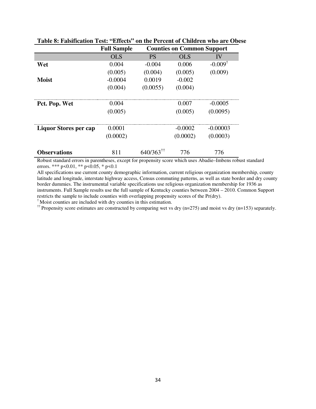|                       | <b>Full Sample</b> |                         | <b>Counties on Common Support</b> |                    |  |  |
|-----------------------|--------------------|-------------------------|-----------------------------------|--------------------|--|--|
|                       | <b>OLS</b>         | <b>PS</b>               | OL S                              | IV                 |  |  |
| Wet                   | 0.004              | $-0.004$                | 0.006                             | $-0.009^{\dagger}$ |  |  |
|                       | (0.005)            | (0.004)                 | (0.005)                           | (0.009)            |  |  |
| <b>Moist</b>          | $-0.0004$          | 0.0019                  | $-0.002$                          |                    |  |  |
|                       | (0.004)            | (0.0055)                | (0.004)                           |                    |  |  |
|                       |                    |                         |                                   |                    |  |  |
| Pct. Pop. Wet         | 0.004              |                         | 0.007                             | $-0.0005$          |  |  |
|                       | (0.005)            |                         | (0.005)                           | (0.0095)           |  |  |
| Liquor Stores per cap | 0.0001             |                         | $-0.0002$                         | $-0.00003$         |  |  |
|                       | (0.0002)           |                         | (0.0002)                          | (0.0003)           |  |  |
|                       |                    |                         |                                   |                    |  |  |
| <b>Observations</b>   | 811                | $640/363$ <sup>††</sup> | 776                               | 776                |  |  |

### **Table 8: Falsification Test: "Effects" on the Percent of Children who are Obese**

Robust standard errors in parentheses, except for propensity score which uses Abadie–Imbens robust standard errors. \*\*\* p<0.01, \*\* p<0.05, \* p<0.1

All specifications use current county demographic information, current religious organization membership, county latitude and longitude, interstate highway access, Census commuting patterns, as well as state border and dry county border dummies. The instrumental variable specifications use religious organization membership for 1936 as instruments. Full Sample results use the full sample of Kentucky counties between 2004 – 2010. Common Support restricts the sample to include counties with overlapping propensity scores of the Pr(dry).

† Moist counties are included with dry counties in this estimation.

<sup>††</sup> Propensity score estimates are constructed by comparing wet vs dry (n=275) and moist vs dry (n=153) separately.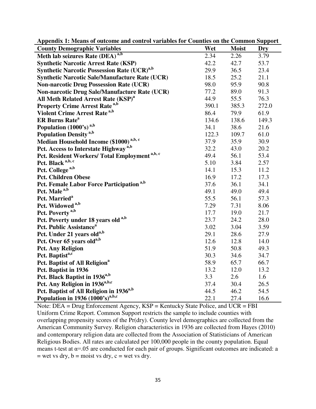| Appendix 1. Means of outcome and control variables for Counties on the Common Support |       |              |       |
|---------------------------------------------------------------------------------------|-------|--------------|-------|
| <b>County Demographic Variables</b>                                                   | Wet   | <b>Moist</b> | Dry   |
| Meth lab seizures Rate (DEA) <sup>a,b</sup>                                           | 2.34  | 2.26         | 3.79  |
| <b>Synthetic Narcotic Arrest Rate (KSP)</b>                                           | 42.2  | 42.7         | 53.7  |
| <b>Synthetic Narcotic Possession Rate (UCR)</b> <sup>a,b</sup>                        | 29.9  | 36.5         | 23.4  |
| <b>Synthetic Narcotic Sale/Manufacture Rate (UCR)</b>                                 | 18.5  | 25.2         | 21.1  |
| <b>Non-narcotic Drug Possession Rate (UCR)</b>                                        | 98.0  | 95.9         | 90.8  |
| Non-narcotic Drug Sale/Manufacture Rate (UCR)                                         | 77.2  | 89.0         | 91.3  |
| All Meth Related Arrest Rate (KSP) <sup>a</sup>                                       | 44.9  | 55.5         | 76.3  |
| <b>Property Crime Arrest Rate a,b</b>                                                 | 390.1 | 385.3        | 272.0 |
| Violent Crime Arrest Rate <sup>a,b</sup>                                              | 86.4  | 79.9         | 61.9  |
| <b>ER Burns Rate<sup>a</sup></b>                                                      | 134.6 | 138.6        | 149.3 |
| Population (1000's) <sup>a,b</sup>                                                    | 34.1  | 38.6         | 21.6  |
| <b>Population Density</b> <sup>a,b</sup>                                              | 122.3 | 109.7        | 61.0  |
| Median Household Income (\$1000) <sup>a,b, c</sup>                                    | 37.9  | 35.9         | 30.9  |
| Pct. Access to Interstate Highway <sup>a,b</sup>                                      | 32.2  | 43.0         | 20.2  |
| Pct. Resident Workers/ Total Employment <sup>a,b, c</sup>                             | 49.4  | 56.1         | 53.4  |
| Pct. Black a,b, c                                                                     | 5.10  | 3.84         | 2.57  |
| Pct. College <sup>a,b</sup>                                                           | 14.1  | 15.3         | 11.2  |
| <b>Pct. Children Obese</b>                                                            | 16.9  | 17.2         | 17.3  |
| Pct. Female Labor Force Participation <sup>a,b</sup>                                  | 37.6  | 36.1         | 34.1  |
| Pct. Male <sup>a,b</sup>                                                              | 49.1  | 49.0         | 49.4  |
| Pct. Married <sup>a</sup>                                                             | 55.5  | 56.1         | 57.3  |
| Pct. Widowed <sup>a,b</sup>                                                           | 7.29  | 7.31         | 8.06  |
| Pct. Poverty <sup>a,b</sup>                                                           | 17.7  | 19.0         | 21.7  |
| Pct. Poverty under 18 years old a,b                                                   | 23.7  | 24.2         | 28.0  |
| Pct. Public Assistance <sup>a</sup>                                                   | 3.02  | 3.04         | 3.59  |
| Pct. Under 21 years old <sup>a,b</sup>                                                | 29.1  | 28.6         | 27.9  |
| Pct. Over 65 years old <sup>a,b</sup>                                                 | 12.6  | 12.8         | 14.0  |
| <b>Pct. Any Religion</b>                                                              | 51.9  | 50.8         | 49.3  |
| Pct. Baptist <sup>a,c</sup>                                                           | 30.3  | 34.6         | 34.7  |
| Pct. Baptist of All Religion <sup>a</sup>                                             | 58.9  | 65.7         | 66.7  |
| Pct. Baptist in 1936                                                                  | 13.2  | 12.0         | 13.2  |
| Pct. Black Baptist in 1936 <sup>a,b</sup>                                             | 3.3   | 2.6          | 1.6   |
| Pct. Any Religion in 1936 <sup>a,b,c</sup>                                            | 37.4  | 30.4         | 26.5  |
| Pct. Baptist of All Religion in 1936 <sup>a,b</sup>                                   | 44.5  | 46.2         | 54.5  |
| Population in 1936 (1000's) <sup>a,b,c</sup>                                          | 22.1  | 27.4         | 16.6  |

**Appendix 1: Means of outcome and control variables for Counties on the Common Support**

Note: DEA = Drug Enforcement Agency, KSP = Kentucky State Police, and UCR = FBI Uniform Crime Report. Common Support restricts the sample to include counties with overlapping propensity scores of the Pr(dry). County level demographics are collected from the American Community Survey. Religion characteristics in 1936 are collected from Hayes (2010) and contemporary religion data are collected from the Association of Statisticians of American Religious Bodies. All rates are calculated per 100,000 people in the county population. Equal means t-test at  $\alpha$ =.05 are conducted for each pair of groups. Significant outcomes are indicated: a  $=$  wet vs dry,  $b =$  moist vs dry,  $c =$  wet vs dry.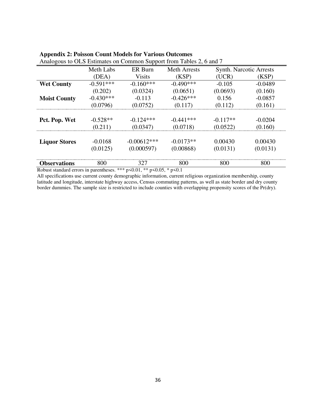| <i>l</i> malogous to OES Estimates on Common Support from Tables 2, 0 and <i>f</i> |             |               |                     |            |                                |
|------------------------------------------------------------------------------------|-------------|---------------|---------------------|------------|--------------------------------|
|                                                                                    | Meth Labs   | ER Burn       | <b>Meth Arrests</b> |            | <b>Synth. Narcotic Arrests</b> |
|                                                                                    | (DEA)       | <b>Visits</b> | (KSP)               | (UCR)      | (KSP)                          |
| <b>Wet County</b>                                                                  | $-0.591***$ | $-0.160***$   | $-0.490***$         | $-0.105$   | $-0.0489$                      |
|                                                                                    | (0.202)     | (0.0324)      | (0.0651)            | (0.0693)   | (0.160)                        |
| <b>Moist County</b>                                                                | $-0.430***$ | $-0.113$      | $-0.426***$         | 0.156      | $-0.0857$                      |
|                                                                                    | (0.0796)    | (0.0752)      | (0.117)             | (0.112)    | (0.161)                        |
|                                                                                    |             |               |                     |            |                                |
| Pct. Pop. Wet                                                                      | $-0.528**$  | $-0.124***$   | $-0.441***$         | $-0.117**$ | $-0.0204$                      |
|                                                                                    | (0.211)     | (0.0347)      | (0.0718)            | (0.0522)   | (0.160)                        |
|                                                                                    |             |               |                     |            |                                |
| <b>Liquor Stores</b>                                                               | $-0.0168$   | $-0.00612***$ | $-0.0173**$         | 0.00430    | 0.00430                        |
|                                                                                    | (0.0125)    | (0.000597)    | (0.00868)           | (0.0131)   | (0.0131)                       |
| <b>Observations</b>                                                                | 800         | 327           | 800                 | 800        | 800                            |

### **Appendix 2: Poisson Count Models for Various Outcomes**

Analogous to OLS Estimates on Common Support from Tables 2, 6 and 7

Robust standard errors in parentheses. \*\*\* p<0.01, \*\* p<0.05, \* p<0.1

All specifications use current county demographic information, current religious organization membership, county latitude and longitude, interstate highway access, Census commuting patterns, as well as state border and dry county border dummies. The sample size is restricted to include counties with overlapping propensity scores of the Pr(dry).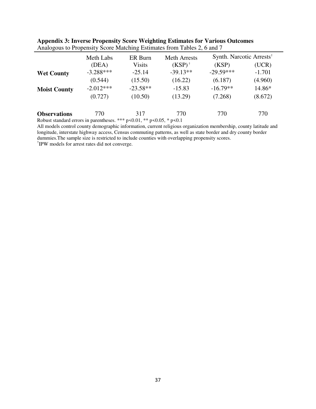|                     | Meth Labs   | ER Burn                                                                                                                              | <b>Meth Arrests</b> | Synth. Narcotic Arrests <sup>†</sup> |          |
|---------------------|-------------|--------------------------------------------------------------------------------------------------------------------------------------|---------------------|--------------------------------------|----------|
|                     | (DEA)       | <b>Visits</b>                                                                                                                        | $(KSP)^{\dagger}$   | (KSP)                                | (UCR)    |
| <b>Wet County</b>   | $-3.288***$ | $-25.14$                                                                                                                             | $-39.13**$          | $-29.59***$                          | $-1.701$ |
|                     | (0.544)     | (15.50)                                                                                                                              | (16.22)             | (6.187)                              | (4.960)  |
| <b>Moist County</b> | $-2.012***$ | $-23.58**$                                                                                                                           | $-15.83$            | $-16.79**$                           | 14.86*   |
|                     | (0.727)     | (10.50)                                                                                                                              | (13.29)             | (7.268)                              | (8.672)  |
| <b>Observations</b> | 770         | 317<br>$\alpha$ and $\alpha$ and $\alpha$ and $\alpha$ and $\alpha$ and $\alpha$ and $\alpha$ and $\alpha$ and $\alpha$ and $\alpha$ | 770                 | 770                                  | 770      |

| Appendix 3: Inverse Propensity Score Weighting Estimates for Various Outcomes |  |  |  |
|-------------------------------------------------------------------------------|--|--|--|
| Analogous to Propensity Score Matching Estimates from Tables 2, 6 and 7       |  |  |  |

Robust standard errors in parentheses. \*\*\* p<0.01, \*\* p<0.05, \* p<0.1

All models control county demographic information, current religious organization membership, county latitude and longitude, interstate highway access, Census commuting patterns, as well as state border and dry county border dummies.The sample size is restricted to include counties with overlapping propensity scores.

† IPW models for arrest rates did not converge.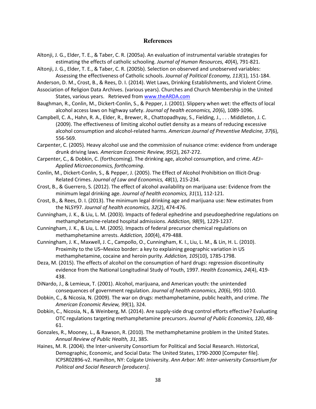#### **References**

- Altonji, J. G., Elder, T. E., & Taber, C. R. (2005a). An evaluation of instrumental variable strategies for estimating the effects of catholic schooling. *Journal of Human Resources, 40*(4), 791-821.
- Altonji, J. G., Elder, T. E., & Taber, C. R. (2005b). Selection on observed and unobserved variables: Assessing the effectiveness of Catholic schools. *Journal of Political Economy, 113*(1), 151-184.

Anderson, D. M., Crost, B., & Rees, D. I. (2014). Wet Laws, Drinking Establishments, and Violent Crime.

Association of Religion Data Archives. (various years). Churches and Church Membership in the United States, various years. Retrieved from www.theARDA.com

- Baughman, R., Conlin, M., Dickert-Conlin, S., & Pepper, J. (2001). Slippery when wet: the effects of local alcohol access laws on highway safety. *Journal of health economics, 20*(6), 1089-1096.
- Campbell, C. A., Hahn, R. A., Elder, R., Brewer, R., Chattopadhyay, S., Fielding, J., . . . Middleton, J. C. (2009). The effectiveness of limiting alcohol outlet density as a means of reducing excessive alcohol consumption and alcohol-related harms. *American Journal of Preventive Medicine, 37*(6), 556-569.
- Carpenter, C. (2005). Heavy alcohol use and the commission of nuisance crime: evidence from underage drunk driving laws. *American Economic Review, 95*(2), 267-272.
- Carpenter, C., & Dobkin, C. (forthcoming). The drinking age, alcohol consumption, and crime. *AEJ– Applied Microeconomics, forthcoming*.
- Conlin, M., Dickert-Conlin, S., & Pepper, J. (2005). The Effect of Alcohol Prohibition on Illicit-Drug-Related Crimes. *Journal of Law and Economics, 48*(1), 215-234.
- Crost, B., & Guerrero, S. (2012). The effect of alcohol availability on marijuana use: Evidence from the minimum legal drinking age. *Journal of health economics, 31*(1), 112-121.
- Crost, B., & Rees, D. I. (2013). The minimum legal drinking age and marijuana use: New estimates from the NLSY97. *Journal of health economics, 32*(2), 474-476.
- Cunningham, J. K., & Liu, L. M. (2003). Impacts of federal ephedrine and pseudoephedrine regulations on methamphetamine-related hospital admissions. *Addiction, 98*(9), 1229-1237.
- Cunningham, J. K., & Liu, L. M. (2005). Impacts of federal precursor chemical regulations on methamphetamine arrests. *Addiction, 100*(4), 479-488.
- Cunningham, J. K., Maxwell, J. C., Campollo, O., Cunningham, K. I., Liu, L. M., & Lin, H. L. (2010). Proximity to the US–Mexico border: a key to explaining geographic variation in US methamphetamine, cocaine and heroin purity. *Addiction, 105*(10), 1785-1798.
- Deza, M. (2015). The effects of alcohol on the consumption of hard drugs: regression discontinuity evidence from the National Longitudinal Study of Youth, 1997. *Health Economics, 24*(4), 419- 438.
- DiNardo, J., & Lemieux, T. (2001). Alcohol, marijuana, and American youth: the unintended consequences of government regulation. *Journal of health economics, 20*(6), 991-1010.
- Dobkin, C., & Nicosia, N. (2009). The war on drugs: methamphetamine, public health, and crime. *The American Economic Review, 99*(1), 324.
- Dobkin, C., Nicosia, N., & Weinberg, M. (2014). Are supply-side drug control efforts effective? Evaluating OTC regulations targeting methamphetamine precursors. *Journal of Public Economics, 120*, 48- 61.
- Gonzales, R., Mooney, L., & Rawson, R. (2010). The methamphetamine problem in the United States. *Annual Review of Public Health, 31*, 385.
- Haines, M. R. (2004). the Inter-university Consortium for Political and Social Research. Historical, Demographic, Economic, and Social Data: The United States, 1790-2000 [Computer file]. ICPSR02896-v2. Hamilton, NY: Colgate University. *Ann Arbor: MI: Inter-university Consortium for Political and Social Research [producers]*.